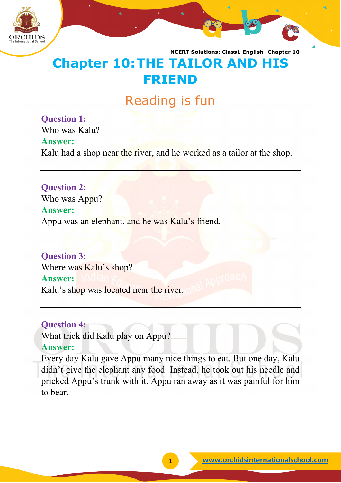

# **Chapter 10:THE TAILOR AND HIS FRIEND**

## Reading is fun

**Question 1:** Who was Kalu? **Answer:** Kalu had a shop near the river, and he worked as a tailor at the shop.

**Question 2:** Who was Appu? **Answer:** Appu was an elephant, and he was Kalu's friend.

**Question 3:** Where was Kalu's shop? **Answer:** Kalu's shop was located near the river.

#### **Question 4:**

What trick did Kalu play on Appu? **Answer:**

Every day Kalu gave Appu many nice things to eat. But one day, Kalu didn't give the elephant any food. Instead, he took out his needle and pricked Appu's trunk with it. Appu ran away as it was painful for him to bear.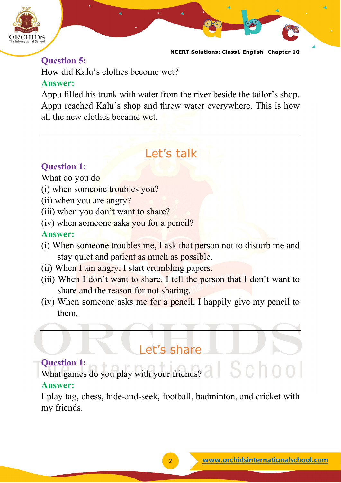

#### **Question 5:**

How did Kalu's clothes become wet?

#### **Answer:**

Appu filled his trunk with water from the river beside the tailor's shop. Appu reached Kalu's shop and threw water everywhere. This is how all the new clothes became wet.

### Let's talk

#### **Question 1:**

What do you do

- (i) when someone troubles you?
- (ii) when you are angry?
- (iii) when you don't want to share?
- (iv) when someone asks you for a pencil?

#### **Answer:**

- (i) When someone troubles me, I ask that person not to disturb me and stay quiet and patient as much as possible.
- (ii) When I am angry, I start crumbling papers.
- (iii) When I don't want to share, I tell the person that I don't want to share and the reason for not sharing.
- (iv) When someone asks me for a pencil, I happily give my pencil to them.

### Let's share

#### **Question 1:**

What games do you play with your friends? **Answer:**

I play tag, chess, hide-and-seek, football, badminton, and cricket with my friends.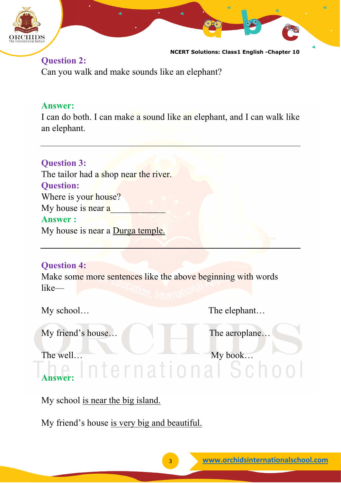

#### **Question 2:** Can you walk and make sounds like an elephant?

#### **Answer:**

I can do both. I can make a sound like an elephant, and I can walk like an elephant.

#### **Question 3:**

The tailor had a shop near the river. **Question:** Where is your house? My house is near a **Answer :** My house is near a **Durga temple.** 

### **Question 4:**

Make some more sentences like the above beginning with words like—

My school… The elephant…

My friend's house… The aeroplane…

The well…<br>Answer: nternational Schoo

### **Answer:**

My school is near the big island.

My friend's house is very big and beautiful.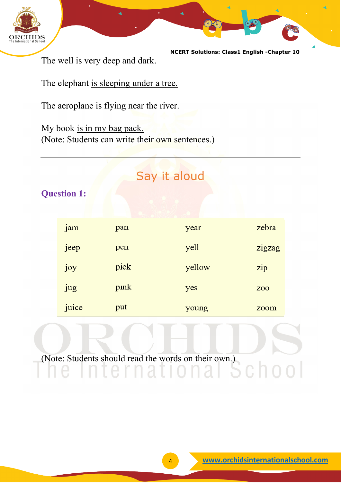

The well is very deep and dark.

The elephant is sleeping under a tree.

The aeroplane is flying near the river.

My book is in my bag pack. (Note: Students can write their own sentences.)

### Say it aloud

**Question 1:**

| jam   | pan  | year   | zebra          |
|-------|------|--------|----------------|
| jeep  | pen  | yell   | zigzag         |
| joy   | pick | yellow | zip            |
| jug   | pink | yes    | Z <sub>0</sub> |
| juice | put  | young  | zoom           |

(Note: Students should read the words on their own.)

 $C \cap O$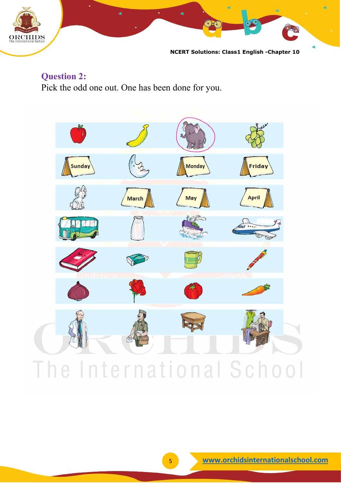

**Question 2:** Pick the odd one out. One has been done for you.